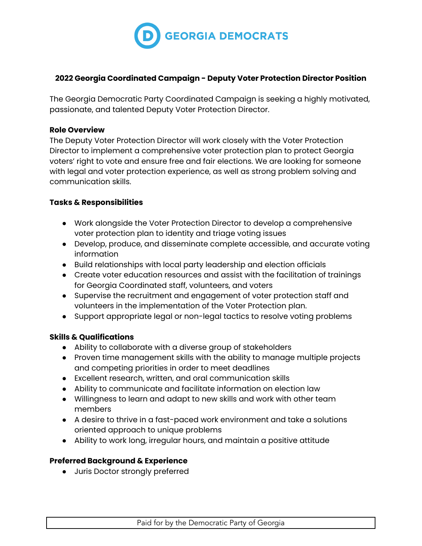

### **2022 Georgia Coordinated Campaign - Deputy Voter Protection Director Position**

The Georgia Democratic Party Coordinated Campaign is seeking a highly motivated, passionate, and talented Deputy Voter Protection Director.

#### **Role Overview**

The Deputy Voter Protection Director will work closely with the Voter Protection Director to implement a comprehensive voter protection plan to protect Georgia voters' right to vote and ensure free and fair elections. We are looking for someone with legal and voter protection experience, as well as strong problem solving and communication skills.

## **Tasks & Responsibilities**

- Work alongside the Voter Protection Director to develop a comprehensive voter protection plan to identity and triage voting issues
- Develop, produce, and disseminate complete accessible, and accurate voting information
- Build relationships with local party leadership and election officials
- Create voter education resources and assist with the facilitation of trainings for Georgia Coordinated staff, volunteers, and voters
- Supervise the recruitment and engagement of voter protection staff and volunteers in the implementation of the Voter Protection plan.
- Support appropriate legal or non-legal tactics to resolve voting problems

#### **Skills & Qualifications**

- Ability to collaborate with a diverse group of stakeholders
- Proven time management skills with the ability to manage multiple projects and competing priorities in order to meet deadlines
- Excellent research, written, and oral communication skills
- Ability to communicate and facilitate information on election law
- Willingness to learn and adapt to new skills and work with other team members
- A desire to thrive in a fast-paced work environment and take a solutions oriented approach to unique problems
- Ability to work long, irregular hours, and maintain a positive attitude

#### **Preferred Background & Experience**

● Juris Doctor strongly preferred